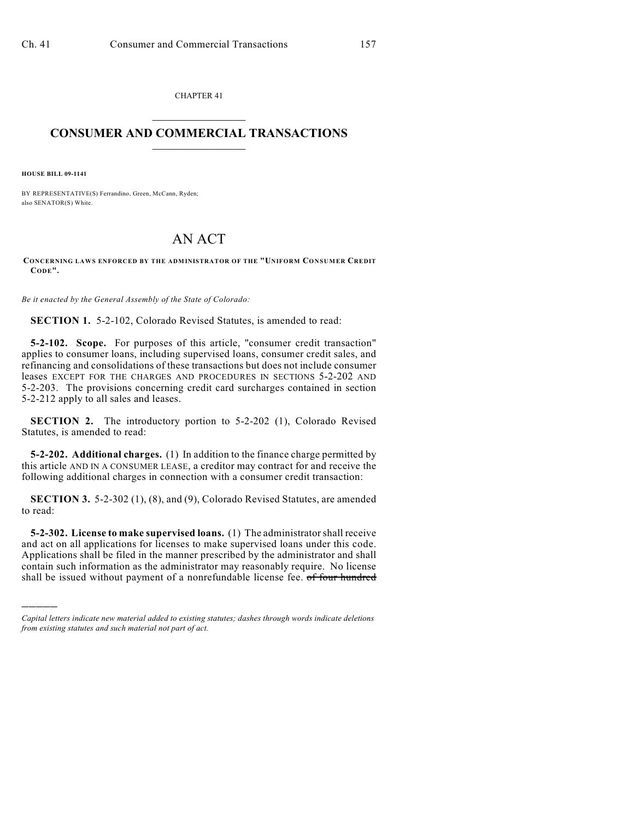CHAPTER 41  $\overline{\phantom{a}}$  . The set of the set of the set of the set of the set of the set of the set of the set of the set of the set of the set of the set of the set of the set of the set of the set of the set of the set of the set o

## **CONSUMER AND COMMERCIAL TRANSACTIONS**  $\frac{1}{2}$  ,  $\frac{1}{2}$  ,  $\frac{1}{2}$  ,  $\frac{1}{2}$  ,  $\frac{1}{2}$  ,  $\frac{1}{2}$

**HOUSE BILL 09-1141**

)))))

BY REPRESENTATIVE(S) Ferrandino, Green, McCann, Ryden; also SENATOR(S) White.

## AN ACT

**CONCERNING LAWS ENFORCED BY THE ADMINISTRATOR OF THE "UNIFORM CONSUMER CREDIT CODE".**

*Be it enacted by the General Assembly of the State of Colorado:*

**SECTION 1.** 5-2-102, Colorado Revised Statutes, is amended to read:

**5-2-102. Scope.** For purposes of this article, "consumer credit transaction" applies to consumer loans, including supervised loans, consumer credit sales, and refinancing and consolidations of these transactions but does not include consumer leases EXCEPT FOR THE CHARGES AND PROCEDURES IN SECTIONS 5-2-202 AND 5-2-203. The provisions concerning credit card surcharges contained in section 5-2-212 apply to all sales and leases.

**SECTION 2.** The introductory portion to 5-2-202 (1), Colorado Revised Statutes, is amended to read:

**5-2-202. Additional charges.** (1) In addition to the finance charge permitted by this article AND IN A CONSUMER LEASE, a creditor may contract for and receive the following additional charges in connection with a consumer credit transaction:

**SECTION 3.** 5-2-302 (1), (8), and (9), Colorado Revised Statutes, are amended to read:

**5-2-302. License to make supervised loans.** (1) The administrator shall receive and act on all applications for licenses to make supervised loans under this code. Applications shall be filed in the manner prescribed by the administrator and shall contain such information as the administrator may reasonably require. No license shall be issued without payment of a nonrefundable license fee. of four hundred

*Capital letters indicate new material added to existing statutes; dashes through words indicate deletions from existing statutes and such material not part of act.*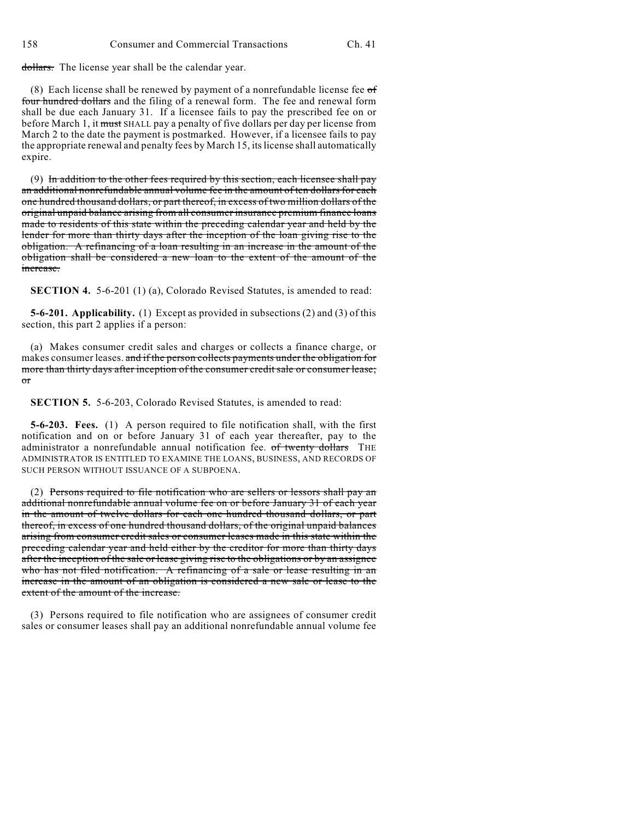dollars. The license year shall be the calendar year.

(8) Each license shall be renewed by payment of a nonrefundable license fee  $\sigma f$ four hundred dollars and the filing of a renewal form. The fee and renewal form shall be due each January 31. If a licensee fails to pay the prescribed fee on or before March 1, it must SHALL pay a penalty of five dollars per day per license from March 2 to the date the payment is postmarked. However, if a licensee fails to pay the appropriate renewal and penalty fees by March 15, its license shall automatically expire.

(9) In addition to the other fees required by this section, each licensee shall pay an additional nonrefundable annual volume fee in the amount of ten dollars for each one hundred thousand dollars, or part thereof, in excess of two million dollars of the original unpaid balance arising from all consumer insurance premium finance loans made to residents of this state within the preceding calendar year and held by the lender for more than thirty days after the inception of the loan giving rise to the obligation. A refinancing of a loan resulting in an increase in the amount of the obligation shall be considered a new loan to the extent of the amount of the increase.

**SECTION 4.** 5-6-201 (1) (a), Colorado Revised Statutes, is amended to read:

**5-6-201. Applicability.** (1) Except as provided in subsections (2) and (3) of this section, this part 2 applies if a person:

(a) Makes consumer credit sales and charges or collects a finance charge, or makes consumer leases. and if the person collects payments under the obligation for more than thirty days after inception of the consumer credit sale or consumer lease; or

**SECTION 5.** 5-6-203, Colorado Revised Statutes, is amended to read:

**5-6-203. Fees.** (1) A person required to file notification shall, with the first notification and on or before January 31 of each year thereafter, pay to the administrator a nonrefundable annual notification fee. of twenty dollars THE ADMINISTRATOR IS ENTITLED TO EXAMINE THE LOANS, BUSINESS, AND RECORDS OF SUCH PERSON WITHOUT ISSUANCE OF A SUBPOENA.

(2) Persons required to file notification who are sellers or lessors shall pay an additional nonrefundable annual volume fee on or before January 31 of each year in the amount of twelve dollars for each one hundred thousand dollars, or part thereof, in excess of one hundred thousand dollars, of the original unpaid balances arising from consumer credit sales or consumer leases made in this state within the preceding calendar year and held either by the creditor for more than thirty days after the inception of the sale or lease giving rise to the obligations or by an assignee who has not filed notification. A refinancing of a sale or lease resulting in an increase in the amount of an obligation is considered a new sale or lease to the extent of the amount of the increase.

(3) Persons required to file notification who are assignees of consumer credit sales or consumer leases shall pay an additional nonrefundable annual volume fee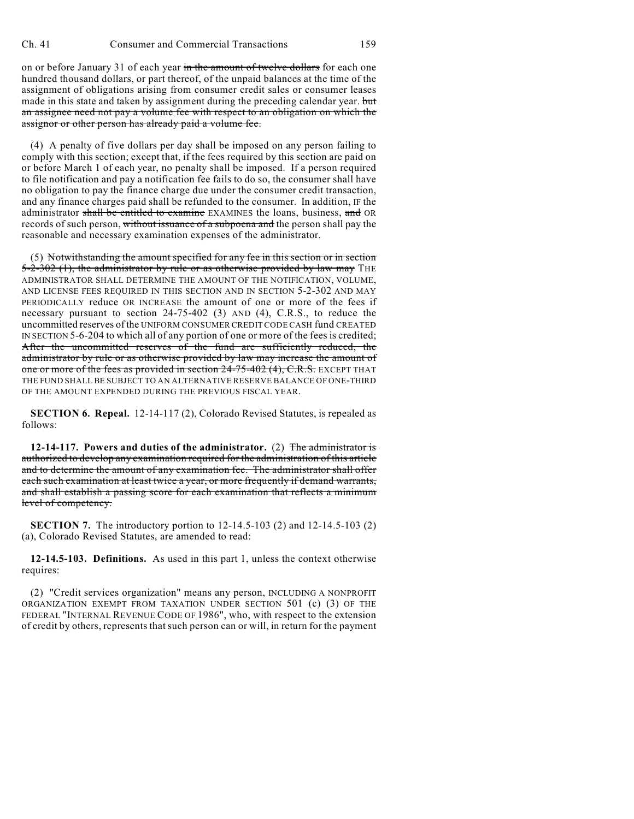on or before January 31 of each year in the amount of twelve dollars for each one hundred thousand dollars, or part thereof, of the unpaid balances at the time of the assignment of obligations arising from consumer credit sales or consumer leases made in this state and taken by assignment during the preceding calendar year. but an assignee need not pay a volume fee with respect to an obligation on which the assignor or other person has already paid a volume fee.

(4) A penalty of five dollars per day shall be imposed on any person failing to comply with this section; except that, if the fees required by this section are paid on or before March 1 of each year, no penalty shall be imposed. If a person required to file notification and pay a notification fee fails to do so, the consumer shall have no obligation to pay the finance charge due under the consumer credit transaction, and any finance charges paid shall be refunded to the consumer. In addition, IF the administrator shall be entitled to examine EXAMINES the loans, business, and OR records of such person, without issuance of a subpoena and the person shall pay the reasonable and necessary examination expenses of the administrator.

(5) Notwithstanding the amount specified for any fee in this section or in section  $5-2-302$  (1), the administrator by rule or as otherwise provided by law may THE ADMINISTRATOR SHALL DETERMINE THE AMOUNT OF THE NOTIFICATION, VOLUME, AND LICENSE FEES REQUIRED IN THIS SECTION AND IN SECTION 5-2-302 AND MAY PERIODICALLY reduce OR INCREASE the amount of one or more of the fees if necessary pursuant to section 24-75-402 (3) AND (4), C.R.S., to reduce the uncommitted reserves of the UNIFORM CONSUMER CREDIT CODE CASH fund CREATED IN SECTION 5-6-204 to which all of any portion of one or more of the fees is credited; After the uncommitted reserves of the fund are sufficiently reduced, the administrator by rule or as otherwise provided by law may increase the amount of one or more of the fees as provided in section 24-75-402 (4), C.R.S. EXCEPT THAT THE FUND SHALL BE SUBJECT TO AN ALTERNATIVE RESERVE BALANCE OF ONE-THIRD OF THE AMOUNT EXPENDED DURING THE PREVIOUS FISCAL YEAR.

**SECTION 6. Repeal.** 12-14-117 (2), Colorado Revised Statutes, is repealed as follows:

**12-14-117. Powers and duties of the administrator.** (2) The administrator is authorized to develop any examination required for the administration of this article and to determine the amount of any examination fee. The administrator shall offer each such examination at least twice a year, or more frequently if demand warrants, and shall establish a passing score for each examination that reflects a minimum level of competency.

**SECTION 7.** The introductory portion to 12-14.5-103 (2) and 12-14.5-103 (2) (a), Colorado Revised Statutes, are amended to read:

**12-14.5-103. Definitions.** As used in this part 1, unless the context otherwise requires:

(2) "Credit services organization" means any person, INCLUDING A NONPROFIT ORGANIZATION EXEMPT FROM TAXATION UNDER SECTION 501 (c) (3) OF THE FEDERAL "INTERNAL REVENUE CODE OF 1986", who, with respect to the extension of credit by others, represents that such person can or will, in return for the payment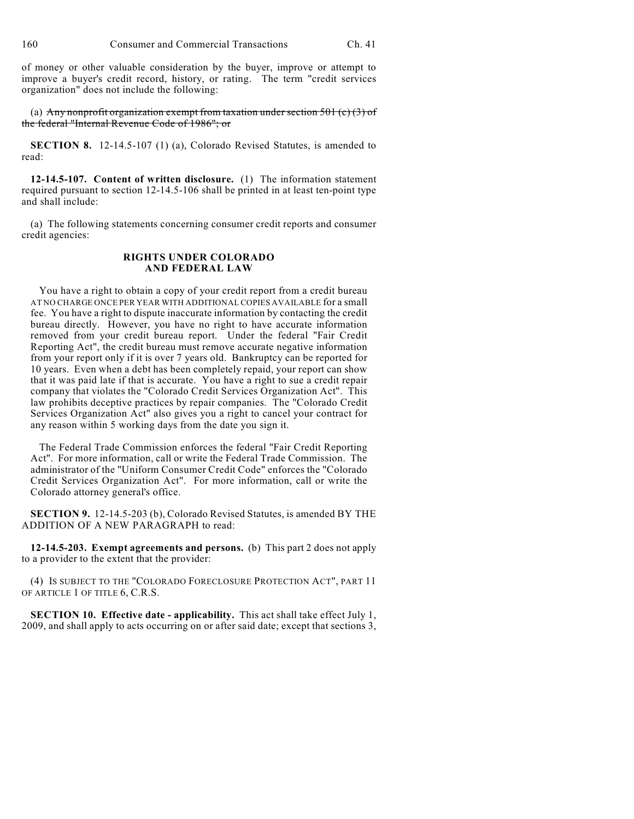of money or other valuable consideration by the buyer, improve or attempt to improve a buyer's credit record, history, or rating. The term "credit services organization" does not include the following:

(a) Any nonprofit organization exempt from taxation under section 501 (c)  $(3)$  of the federal "Internal Revenue Code of 1986"; or

**SECTION 8.** 12-14.5-107 (1) (a), Colorado Revised Statutes, is amended to read:

**12-14.5-107. Content of written disclosure.** (1) The information statement required pursuant to section 12-14.5-106 shall be printed in at least ten-point type and shall include:

(a) The following statements concerning consumer credit reports and consumer credit agencies:

## **RIGHTS UNDER COLORADO AND FEDERAL LAW**

 You have a right to obtain a copy of your credit report from a credit bureau AT NO CHARGE ONCE PER YEAR WITH ADDITIONAL COPIES AVAILABLE for a small fee. You have a right to dispute inaccurate information by contacting the credit bureau directly. However, you have no right to have accurate information removed from your credit bureau report. Under the federal "Fair Credit Reporting Act", the credit bureau must remove accurate negative information from your report only if it is over 7 years old. Bankruptcy can be reported for 10 years. Even when a debt has been completely repaid, your report can show that it was paid late if that is accurate. You have a right to sue a credit repair company that violates the "Colorado Credit Services Organization Act". This law prohibits deceptive practices by repair companies. The "Colorado Credit Services Organization Act" also gives you a right to cancel your contract for any reason within 5 working days from the date you sign it.

 The Federal Trade Commission enforces the federal "Fair Credit Reporting Act". For more information, call or write the Federal Trade Commission. The administrator of the "Uniform Consumer Credit Code" enforces the "Colorado Credit Services Organization Act". For more information, call or write the Colorado attorney general's office.

**SECTION 9.** 12-14.5-203 (b), Colorado Revised Statutes, is amended BY THE ADDITION OF A NEW PARAGRAPH to read:

**12-14.5-203. Exempt agreements and persons.** (b) This part 2 does not apply to a provider to the extent that the provider:

(4) IS SUBJECT TO THE "COLORADO FORECLOSURE PROTECTION ACT", PART 11 OF ARTICLE 1 OF TITLE 6, C.R.S.

**SECTION 10. Effective date - applicability.** This act shall take effect July 1, 2009, and shall apply to acts occurring on or after said date; except that sections 3,